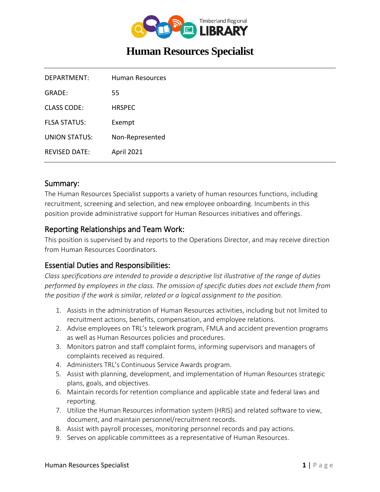

# **Human Resources Specialist**

| Human Resources   |
|-------------------|
| 55                |
| <b>HRSPEC</b>     |
| Exempt            |
| Non-Represented   |
| <b>April 2021</b> |
|                   |

#### Summary:

The Human Resources Specialist supports a variety of human resources functions, including recruitment, screening and selection, and new employee onboarding. Incumbents in this position provide administrative support for Human Resources initiatives and offerings.

## Reporting Relationships and Team Work:

This position is supervised by and reports to the Operations Director, and may receive direction from Human Resources Coordinators.

#### Essential Duties and Responsibilities:

*Class specifications are intended to provide a descriptive list illustrative of the range of duties performed by employees in the class. The omission of specific duties does not exclude them from the position if the work is similar, related or a logical assignment to the position.*

- 1. Assists in the administration of Human Resources activities, including but not limited to recruitment actions, benefits, compensation, and employee relations.
- 2. Advise employees on TRL's telework program, FMLA and accident prevention programs as well as Human Resources policies and procedures.
- 3. Monitors patron and staff complaint forms, informing supervisors and managers of complaints received as required.
- 4. Administers TRL's Continuous Service Awards program.
- 5. Assist with planning, development, and implementation of Human Resources strategic plans, goals, and objectives.
- 6. Maintain records for retention compliance and applicable state and federal laws and reporting.
- 7. Utilize the Human Resources information system (HRIS) and related software to view, document, and maintain personnel/recruitment records.
- 8. Assist with payroll processes, monitoring personnel records and pay actions.
- 9. Serves on applicable committees as a representative of Human Resources.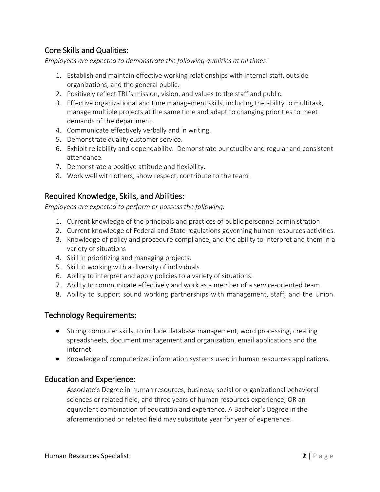# Core Skills and Qualities:

*Employees are expected to demonstrate the following qualities at all times:*

- 1. Establish and maintain effective working relationships with internal staff, outside organizations, and the general public.
- 2. Positively reflect TRL's mission, vision, and values to the staff and public.
- 3. Effective organizational and time management skills, including the ability to multitask, manage multiple projects at the same time and adapt to changing priorities to meet demands of the department.
- 4. Communicate effectively verbally and in writing.
- 5. Demonstrate quality customer service.
- 6. Exhibit reliability and dependability. Demonstrate punctuality and regular and consistent attendance.
- 7. Demonstrate a positive attitude and flexibility.
- 8. Work well with others, show respect, contribute to the team.

## Required Knowledge, Skills, and Abilities:

*Employees are expected to perform or possess the following:*

- 1. Current knowledge of the principals and practices of public personnel administration.
- 2. Current knowledge of Federal and State regulations governing human resources activities.
- 3. Knowledge of policy and procedure compliance, and the ability to interpret and them in a variety of situations
- 4. Skill in prioritizing and managing projects.
- 5. Skill in working with a diversity of individuals.
- 6. Ability to interpret and apply policies to a variety of situations.
- 7. Ability to communicate effectively and work as a member of a service-oriented team.
- 8. Ability to support sound working partnerships with management, staff, and the Union.

## Technology Requirements:

- Strong computer skills, to include database management, word processing, creating spreadsheets, document management and organization, email applications and the internet.
- Knowledge of computerized information systems used in human resources applications.

#### Education and Experience:

Associate's Degree in human resources, business, social or organizational behavioral sciences or related field, and three years of human resources experience; OR an equivalent combination of education and experience. A Bachelor's Degree in the aforementioned or related field may substitute year for year of experience.